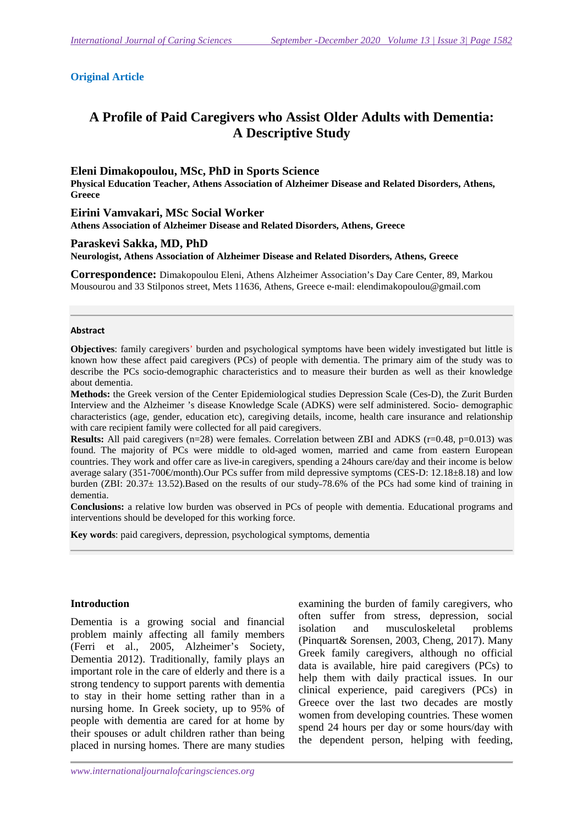## **Original Article**

# **A Profile of Paid Caregivers who Assist Older Adults with Dementia: A Descriptive Study**

### **Eleni Dimakopoulou, MSc, PhD in Sports Science**

**Physical Education Teacher, Athens Association of Alzheimer Disease and Related Disorders, Athens, Greece** 

**Eirini Vamvakari, MSc Social Worker Athens Association of Alzheimer Disease and Related Disorders, Athens, Greece** 

### **Paraskevi Sakka, MD, PhD**

**Neurologist, Athens Association of Alzheimer Disease and Related Disorders, Athens, Greece** 

**Correspondence:** Dimakopoulou Eleni, Athens Alzheimer Association's Day Care Center, 89, Markou Mousourou and 33 Stilponos street, Mets 11636, Athens, Greece e-mail: elendimakopoulou@gmail.com

#### **Abstract**

**Objectives**: family caregivers' burden and psychological symptoms have been widely investigated but little is known how these affect paid caregivers (PCs) of people with dementia. The primary aim of the study was to describe the PCs socio-demographic characteristics and to measure their burden as well as their knowledge about dementia.

**Methods:** the Greek version of the Center Epidemiological studies Depression Scale (Ces-D), the Zurit Burden Interview and the Alzheimer 's disease Knowledge Scale (ADKS) were self administered. Socio- demographic characteristics (age, gender, education etc), caregiving details, income, health care insurance and relationship with care recipient family were collected for all paid caregivers.

**Results:** All paid caregivers (n=28) were females. Correlation between ZBI and ADKS (r=0.48, p=0.013) was found. The majority of PCs were middle to old-aged women, married and came from eastern European countries. They work and offer care as live-in caregivers, spending a 24hours care/day and their income is below average salary (351-700 $\epsilon$ /month).Our PCs suffer from mild depressive symptoms (CES-D: 12.18±8.18) and low burden (ZBI: 20.37± 13.52).Based on the results of our study 78.6% of the PCs had some kind of training in dementia.

**Conclusions:** a relative low burden was observed in PCs of people with dementia. Educational programs and interventions should be developed for this working force.

**Key words**: paid caregivers, depression, psychological symptoms, dementia

## **Introduction**

Dementia is a growing social and financial problem mainly affecting all family members (Ferri et al., 2005, Alzheimer's Society, Dementia 2012). Traditionally, family plays an important role in the care of elderly and there is a strong tendency to support parents with dementia to stay in their home setting rather than in a nursing home. In Greek society, up to 95% of people with dementia are cared for at home by their spouses or adult children rather than being placed in nursing homes. There are many studies

examining the burden of family caregivers, who often suffer from stress, depression, social isolation and musculoskeletal problems (Pinquart& Sorensen, 2003, Cheng, 2017). Many Greek family caregivers, although no official data is available, hire paid caregivers (PCs) to help them with daily practical issues. In our clinical experience, paid caregivers (PCs) in Greece over the last two decades are mostly women from developing countries. These women spend 24 hours per day or some hours/day with the dependent person, helping with feeding,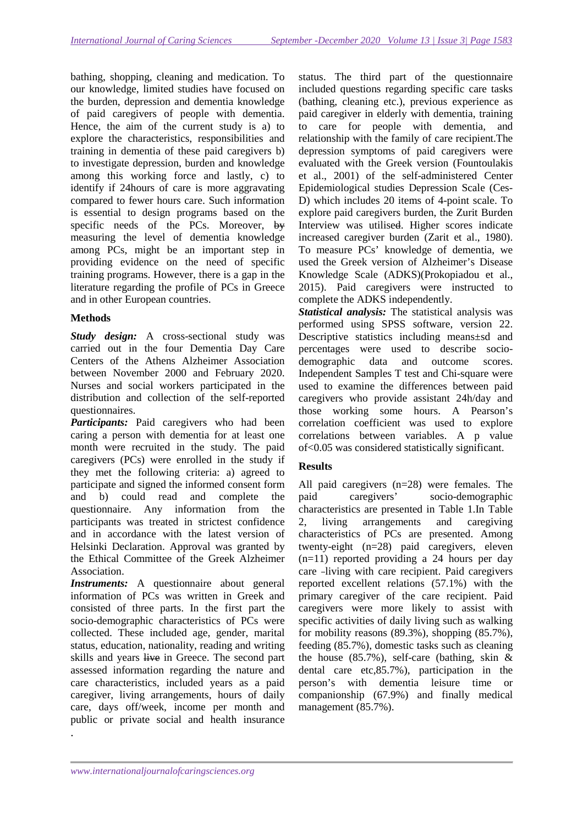bathing, shopping, cleaning and medication. To our knowledge, limited studies have focused on the burden, depression and dementia knowledge of paid caregivers of people with dementia. Hence, the aim of the current study is a) to explore the characteristics, responsibilities and training in dementia of these paid caregivers b) to investigate depression, burden and knowledge among this working force and lastly, c) to identify if 24hours of care is more aggravating compared to fewer hours care. Such information is essential to design programs based on the specific needs of the PCs. Moreover, by measuring the level of dementia knowledge among PCs, might be an important step in providing evidence on the need of specific training programs. However, there is a gap in the literature regarding the profile of PCs in Greece and in other European countries.

# **Methods**

*Study design:* A cross-sectional study was carried out in the four Dementia Day Care Centers of the Athens Alzheimer Association between November 2000 and February 2020. Nurses and social workers participated in the distribution and collection of the self-reported questionnaires.

*Participants:* Paid caregivers who had been caring a person with dementia for at least one month were recruited in the study. The paid caregivers (PCs) were enrolled in the study if they met the following criteria: a) agreed to participate and signed the informed consent form and b) could read and complete the questionnaire. Any information from the participants was treated in strictest confidence and in accordance with the latest version of Helsinki Declaration. Approval was granted by the Ethical Committee of the Greek Alzheimer Association.

*Instruments:* A questionnaire about general information of PCs was written in Greek and consisted of three parts. In the first part the socio-demographic characteristics of PCs were collected. These included age, gender, marital status, education, nationality, reading and writing skills and years live in Greece. The second part assessed information regarding the nature and care characteristics, included years as a paid caregiver, living arrangements, hours of daily care, days off/week, income per month and public or private social and health insurance .

status. The third part of the questionnaire included questions regarding specific care tasks (bathing, cleaning etc.), previous experience as paid caregiver in elderly with dementia, training to care for people with dementia, and relationship with the family of care recipient.The depression symptoms of paid caregivers were evaluated with the Greek version (Fountoulakis et al., 2001) of the self-administered Center Epidemiological studies Depression Scale (Ces-D) which includes 20 items of 4-point scale. To explore paid caregivers burden, the Zurit Burden Interview was utilised. Higher scores indicate increased caregiver burden (Zarit et al., 1980). To measure PCs' knowledge of dementia, we used the Greek version of Alzheimer's Disease Knowledge Scale (ADKS)(Prokopiadou et al., 2015). Paid caregivers were instructed to complete the ADKS independently.

*Statistical analysis:* The statistical analysis was performed using SPSS software, version 22. Descriptive statistics including means±sd and percentages were used to describe sociodemographic data and outcome scores. Independent Samples T test and Chi-square were used to examine the differences between paid caregivers who provide assistant 24h/day and those working some hours. A Pearson's correlation coefficient was used to explore correlations between variables. A p value of<0.05 was considered statistically significant.

# **Results**

All paid caregivers (n=28) were females. The paid caregivers' socio-demographic characteristics are presented in Table 1.In Table 2, living arrangements and caregiving characteristics of PCs are presented. Among twenty-eight (n=28) paid caregivers, eleven (n=11) reported providing a 24 hours per day care -living with care recipient. Paid caregivers reported excellent relations (57.1%) with the primary caregiver of the care recipient. Paid caregivers were more likely to assist with specific activities of daily living such as walking for mobility reasons (89.3%), shopping (85.7%), feeding (85.7%), domestic tasks such as cleaning the house  $(85.7\%)$ , self-care (bathing, skin & dental care etc,85.7%), participation in the person's with dementia leisure time or companionship (67.9%) and finally medical management (85.7%).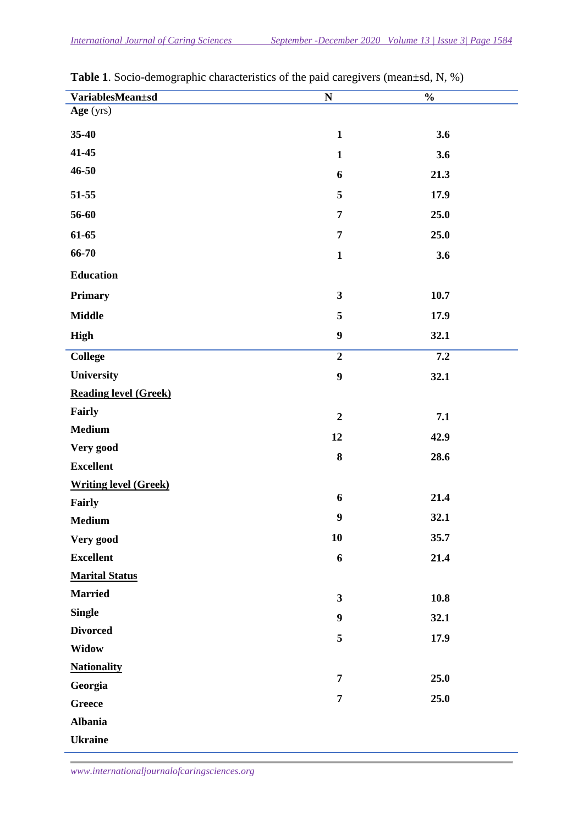| VariablesMean±sd             | ${\bf N}$               | $\frac{0}{0}$ |
|------------------------------|-------------------------|---------------|
| Age (yrs)                    |                         |               |
| 35-40                        | $\mathbf{1}$            | 3.6           |
| 41-45                        | $\mathbf{1}$            | 3.6           |
| 46-50                        | 6                       | 21.3          |
| 51-55                        | 5                       | 17.9          |
| 56-60                        | $\overline{7}$          | 25.0          |
| 61-65                        | $\overline{7}$          | 25.0          |
| 66-70                        | $\mathbf{1}$            | 3.6           |
| <b>Education</b>             |                         |               |
| <b>Primary</b>               | $\overline{\mathbf{3}}$ | 10.7          |
| <b>Middle</b>                | 5                       | 17.9          |
| High                         | $\boldsymbol{9}$        | 32.1          |
| <b>College</b>               | $\overline{2}$          | 7.2           |
| University                   | $\boldsymbol{9}$        | 32.1          |
| <b>Reading level (Greek)</b> |                         |               |
| Fairly                       | $\overline{2}$          | 7.1           |
| <b>Medium</b>                | 12                      | 42.9          |
| Very good                    | 8                       | 28.6          |
| <b>Excellent</b>             |                         |               |
| <b>Writing level (Greek)</b> |                         |               |
| Fairly                       | 6                       | 21.4          |
| <b>Medium</b>                | $\boldsymbol{9}$        | 32.1          |
| Very good                    | 10                      | 35.7          |
| <b>Excellent</b>             | 6                       | 21.4          |
| <b>Marital Status</b>        |                         |               |
| <b>Married</b>               | $\overline{\mathbf{3}}$ | 10.8          |
| <b>Single</b>                | $\boldsymbol{9}$        | 32.1          |
| <b>Divorced</b>              | 5                       | 17.9          |
| <b>Widow</b>                 |                         |               |
| <b>Nationality</b>           |                         |               |
| Georgia                      | $\overline{7}$          | 25.0          |
| <b>Greece</b>                | $\overline{7}$          | 25.0          |
| <b>Albania</b>               |                         |               |
| <b>Ukraine</b>               |                         |               |

**Table 1**. Socio-demographic characteristics of the paid caregivers (mean±sd, N, %)

*www.internationaljournalofcaringsciences.org*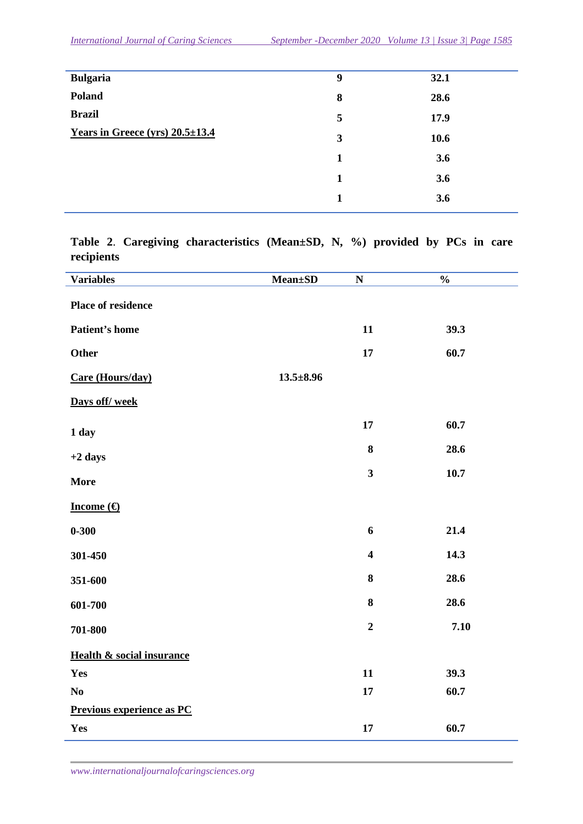| <b>Bulgaria</b>                       | 9 | 32.1 |
|---------------------------------------|---|------|
| Poland                                | 8 | 28.6 |
| <b>Brazil</b>                         | 5 | 17.9 |
| Years in Greece (yrs) $20.5 \pm 13.4$ | 3 | 10.6 |
|                                       | 1 | 3.6  |
|                                       | 1 | 3.6  |
|                                       | 1 | 3.6  |

**Table 2**. **Caregiving characteristics (Mean±SD, N, %) provided by PCs in care recipients** 

| <b>Variables</b>                     | <b>Mean</b> ±SD | $\mathbf N$             | $\frac{0}{0}$ |
|--------------------------------------|-----------------|-------------------------|---------------|
| Place of residence                   |                 |                         |               |
| Patient's home                       |                 | 11                      | 39.3          |
| Other                                |                 | 17                      | 60.7          |
| Care (Hours/day)                     | $13.5 \pm 8.96$ |                         |               |
| Days off/week                        |                 |                         |               |
| 1 day                                |                 | 17                      | 60.7          |
| $+2$ days                            |                 | 8                       | 28.6          |
| <b>More</b>                          |                 | $\mathbf{3}$            | 10.7          |
| Income $(\epsilon)$                  |                 |                         |               |
| $0 - 300$                            |                 | 6                       | 21.4          |
| 301-450                              |                 | $\overline{\mathbf{4}}$ | 14.3          |
| 351-600                              |                 | ${\bf 8}$               | 28.6          |
| 601-700                              |                 | ${\bf 8}$               | 28.6          |
| 701-800                              |                 | $\boldsymbol{2}$        | 7.10          |
| <b>Health &amp; social insurance</b> |                 |                         |               |
| Yes                                  |                 | 11                      | 39.3          |
| N <sub>0</sub>                       |                 | 17                      | 60.7          |
| Previous experience as PC            |                 |                         |               |
| Yes                                  |                 | $17\phantom{.}$         | 60.7          |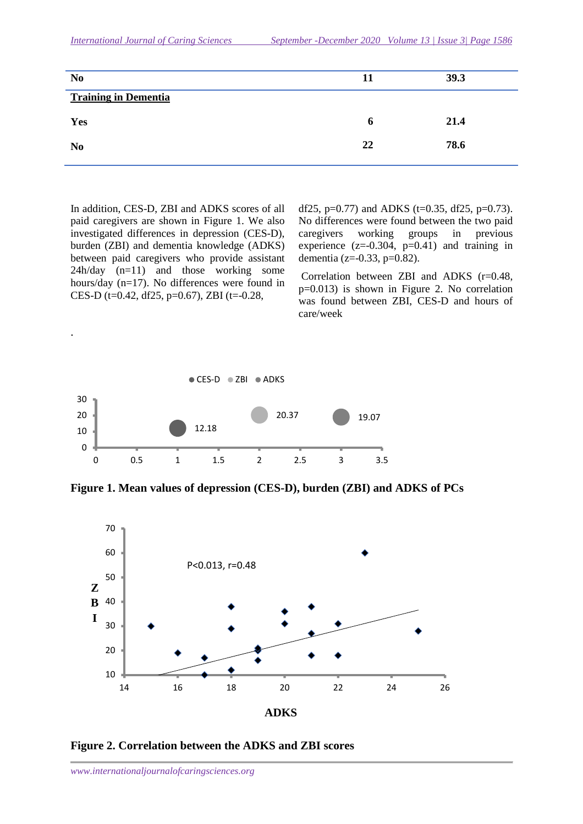| N <sub>0</sub>              | 11 | 39.3 |
|-----------------------------|----|------|
| <b>Training in Dementia</b> |    |      |
| Yes                         | o  | 21.4 |
| N <sub>0</sub>              | 22 | 78.6 |

In addition, CES-D, ZBI and ADKS scores of all paid caregivers are shown in Figure 1. We also investigated differences in depression (CES-D), burden (ZBI) and dementia knowledge (ADKS) between paid caregivers who provide assistant 24h/day (n=11) and those working some hours/day (n=17). No differences were found in CES-D (t=0.42, df25, p=0.67), ZBI (t=-0.28,

.

df25,  $p=0.77$ ) and ADKS (t=0.35, df25,  $p=0.73$ ). No differences were found between the two paid caregivers working groups in previous experience  $(z=0.304, p=0.41)$  and training in dementia (z= $-0.33$ , p= $0.82$ ).

 Correlation between ZBI and ADKS (r=0.48, p=0.013) is shown in Figure 2. No correlation was found between ZBI, CES-D and hours of care/week



**Figure 1. Mean values of depression (CES-D), burden (ZBI) and ADKS of PCs** 



**Figure 2. Correlation between the ADKS and ZBI scores**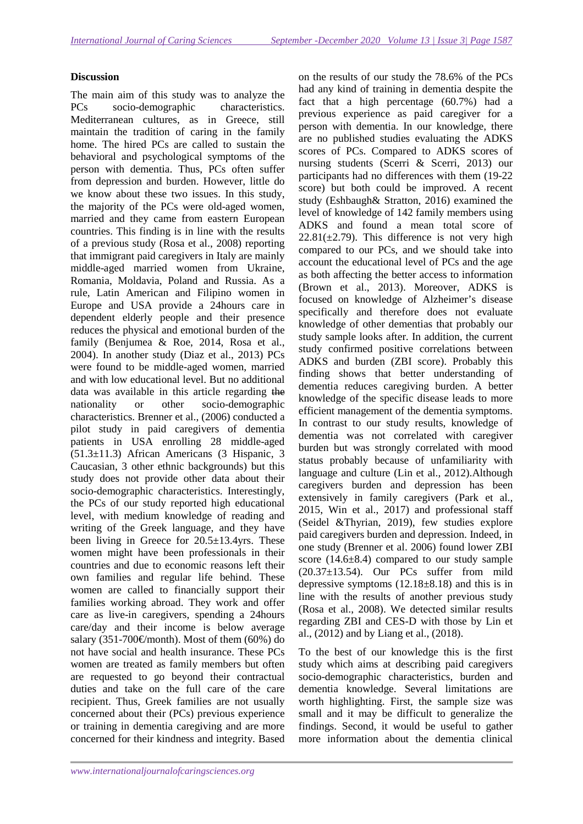## **Discussion**

The main aim of this study was to analyze the PCs socio-demographic characteristics. Mediterranean cultures, as in Greece, still maintain the tradition of caring in the family home. The hired PCs are called to sustain the behavioral and psychological symptoms of the person with dementia. Thus, PCs often suffer from depression and burden. However, little do we know about these two issues. In this study, the majority of the PCs were old-aged women, married and they came from eastern European countries. This finding is in line with the results of a previous study (Rosa et al., 2008) reporting that immigrant paid caregivers in Italy are mainly middle-aged married women from Ukraine, Romania, Moldavia, Poland and Russia. As a rule, Latin American and Filipino women in Europe and USA provide a 24hours care in dependent elderly people and their presence reduces the physical and emotional burden of the family (Benjumea & Roe, 2014, Rosa et al., 2004). In another study (Diaz et al., 2013) PCs were found to be middle-aged women, married and with low educational level. But no additional data was available in this article regarding the nationality or other socio-demographic characteristics. Brenner et al., (2006) conducted a pilot study in paid caregivers of dementia patients in USA enrolling 28 middle-aged (51.3±11.3) African Americans (3 Hispanic, 3 Caucasian, 3 other ethnic backgrounds) but this study does not provide other data about their socio-demographic characteristics. Interestingly, the PCs of our study reported high educational level, with medium knowledge of reading and writing of the Greek language, and they have been living in Greece for 20.5±13.4yrs. These women might have been professionals in their countries and due to economic reasons left their own families and regular life behind. These women are called to financially support their families working abroad. They work and offer care as live-in caregivers, spending a 24hours care/day and their income is below average salary (351-700€/month). Most of them (60%) do not have social and health insurance. These PCs women are treated as family members but often are requested to go beyond their contractual duties and take on the full care of the care recipient. Thus, Greek families are not usually concerned about their (PCs) previous experience or training in dementia caregiving and are more concerned for their kindness and integrity. Based

on the results of our study the 78.6% of the PCs had any kind of training in dementia despite the fact that a high percentage (60.7%) had a previous experience as paid caregiver for a person with dementia. In our knowledge, there are no published studies evaluating the ADKS scores of PCs. Compared to ADKS scores of nursing students (Scerri & Scerri, 2013) our participants had no differences with them (19-22 score) but both could be improved. A recent study (Eshbaugh& Stratton, 2016) examined the level of knowledge of 142 family members using ADKS and found a mean total score of  $22.81(\pm 2.79)$ . This difference is not very high compared to our PCs, and we should take into account the educational level of PCs and the age as both affecting the better access to information (Brown et al., 2013). Moreover, ADKS is focused on knowledge of Alzheimer's disease specifically and therefore does not evaluate knowledge of other dementias that probably our study sample looks after. In addition, the current study confirmed positive correlations between ADKS and burden (ZBI score). Probably this finding shows that better understanding of dementia reduces caregiving burden. A better knowledge of the specific disease leads to more efficient management of the dementia symptoms. In contrast to our study results, knowledge of dementia was not correlated with caregiver burden but was strongly correlated with mood status probably because of unfamiliarity with language and culture (Lin et al., 2012).Although caregivers burden and depression has been extensively in family caregivers (Park et al., 2015, Win et al., 2017) and professional staff (Seidel &Thyrian, 2019), few studies explore paid caregivers burden and depression. Indeed, in one study (Brenner et al. 2006) found lower ZBI score (14.6±8.4) compared to our study sample (20.37±13.54). Our PCs suffer from mild depressive symptoms  $(12.18\pm8.18)$  and this is in line with the results of another previous study (Rosa et al., 2008). We detected similar results regarding ZBI and CES-D with those by Lin et al., (2012) and by Liang et al., (2018).

To the best of our knowledge this is the first study which aims at describing paid caregivers socio-demographic characteristics, burden and dementia knowledge. Several limitations are worth highlighting. First, the sample size was small and it may be difficult to generalize the findings. Second, it would be useful to gather more information about the dementia clinical